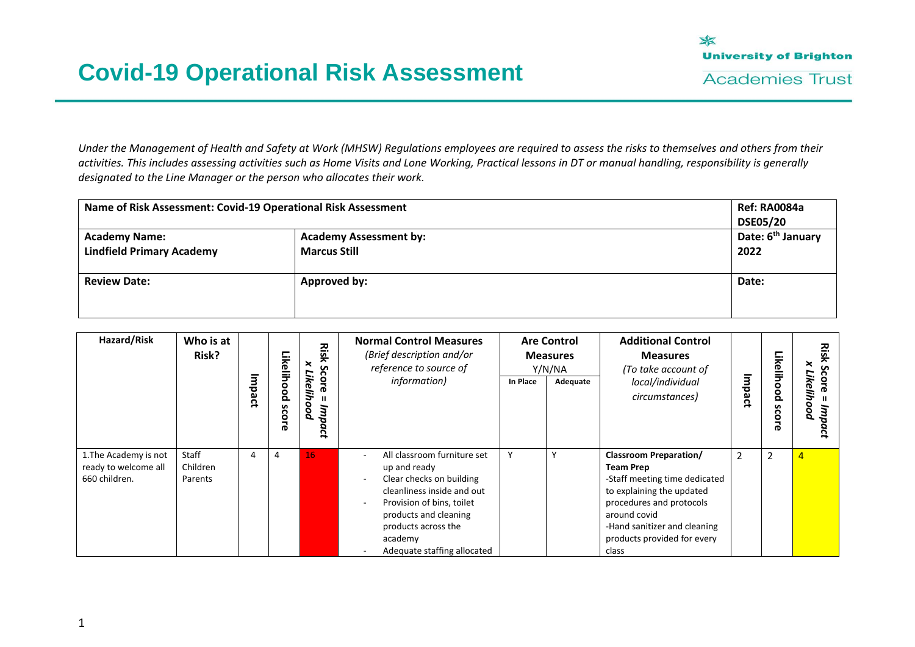

*Under the Management of Health and Safety at Work (MHSW) Regulations employees are required to assess the risks to themselves and others from their activities. This includes assessing activities such as Home Visits and Lone Working, Practical lessons in DT or manual handling, responsibility is generally designated to the Line Manager or the person who allocates their work.*

| Name of Risk Assessment: Covid-19 Operational Risk Assessment |                                                      | Ref: RA0084a<br><b>DSE05/20</b>       |
|---------------------------------------------------------------|------------------------------------------------------|---------------------------------------|
| <b>Academy Name:</b><br><b>Lindfield Primary Academy</b>      | <b>Academy Assessment by:</b><br><b>Marcus Still</b> | Date: 6 <sup>th</sup> January<br>2022 |
| <b>Review Date:</b>                                           | Approved by:                                         | Date:                                 |

| Hazard/Risk                                                    | Who is at<br>Risk?           | $\bar{\mathbf{a}}$<br>pact | Likelihood<br><b>SCOLE</b> | Risk<br>×<br>s<br>∼<br>core<br>ikeli<br>poo<br>dш<br>Q<br>ğ | <b>Normal Control Measures</b><br>(Brief description and/or<br>reference to source of<br>information)                                                                                                                                                    | In Place | <b>Are Control</b><br><b>Measures</b><br>Y/N/NA<br>Adequate | <b>Additional Control</b><br><b>Measures</b><br>(To take account of<br>local/individual<br>circumstances)                                                                                                                           | Impact         | Likelihood<br>s<br>Šor<br>ര | Risk<br>×<br>Score<br>Likelihood<br>dш |
|----------------------------------------------------------------|------------------------------|----------------------------|----------------------------|-------------------------------------------------------------|----------------------------------------------------------------------------------------------------------------------------------------------------------------------------------------------------------------------------------------------------------|----------|-------------------------------------------------------------|-------------------------------------------------------------------------------------------------------------------------------------------------------------------------------------------------------------------------------------|----------------|-----------------------------|----------------------------------------|
| 1. The Academy is not<br>ready to welcome all<br>660 children. | Staff<br>Children<br>Parents | 4                          | 4                          | 16                                                          | All classroom furniture set<br>$\overline{\phantom{a}}$<br>up and ready<br>Clear checks on building<br>cleanliness inside and out<br>Provision of bins, toilet<br>products and cleaning<br>products across the<br>academy<br>Adequate staffing allocated | Y        |                                                             | <b>Classroom Preparation/</b><br><b>Team Prep</b><br>-Staff meeting time dedicated<br>to explaining the updated<br>procedures and protocols<br>around covid<br>-Hand sanitizer and cleaning<br>products provided for every<br>class | $\overline{2}$ | $\overline{2}$              | $\overline{4}$                         |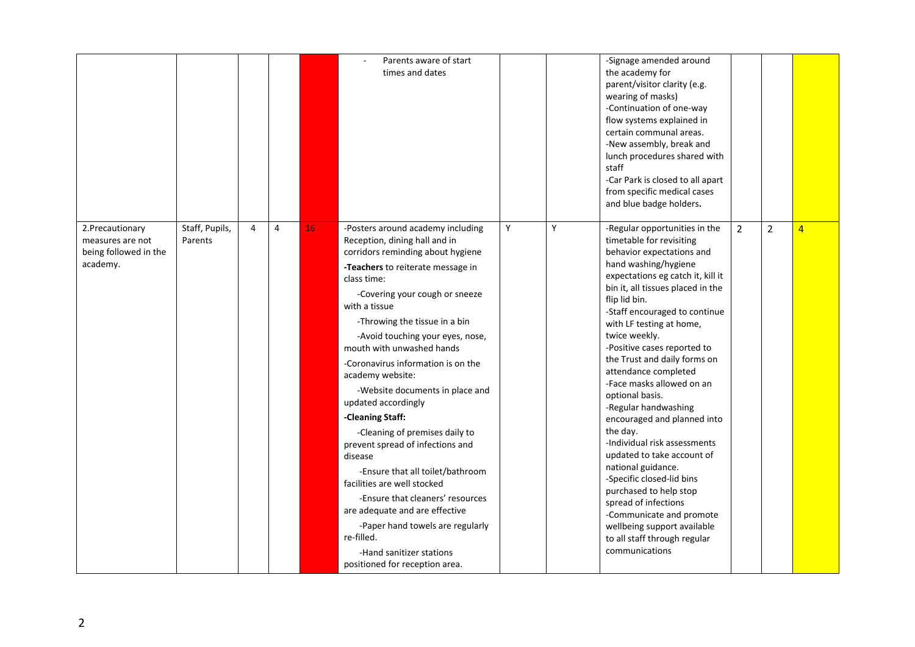|                                                                           |                           |   |   |    | Parents aware of start<br>times and dates                                                                                                                                                                                                                                                                                                                                                                                                                                                                                                                                                                                                                                                                                                                                                          |   |   | -Signage amended around<br>the academy for<br>parent/visitor clarity (e.g.<br>wearing of masks)<br>-Continuation of one-way<br>flow systems explained in<br>certain communal areas.<br>-New assembly, break and<br>lunch procedures shared with<br>staff<br>-Car Park is closed to all apart<br>from specific medical cases<br>and blue badge holders.                                                                                                                                                                                                                                                                                                                                                                                                                            |                |                |                |
|---------------------------------------------------------------------------|---------------------------|---|---|----|----------------------------------------------------------------------------------------------------------------------------------------------------------------------------------------------------------------------------------------------------------------------------------------------------------------------------------------------------------------------------------------------------------------------------------------------------------------------------------------------------------------------------------------------------------------------------------------------------------------------------------------------------------------------------------------------------------------------------------------------------------------------------------------------------|---|---|-----------------------------------------------------------------------------------------------------------------------------------------------------------------------------------------------------------------------------------------------------------------------------------------------------------------------------------------------------------------------------------------------------------------------------------------------------------------------------------------------------------------------------------------------------------------------------------------------------------------------------------------------------------------------------------------------------------------------------------------------------------------------------------|----------------|----------------|----------------|
| 2. Precautionary<br>measures are not<br>being followed in the<br>academy. | Staff, Pupils,<br>Parents | 4 | 4 | 16 | -Posters around academy including<br>Reception, dining hall and in<br>corridors reminding about hygiene<br>-Teachers to reiterate message in<br>class time:<br>-Covering your cough or sneeze<br>with a tissue<br>-Throwing the tissue in a bin<br>-Avoid touching your eyes, nose,<br>mouth with unwashed hands<br>-Coronavirus information is on the<br>academy website:<br>-Website documents in place and<br>updated accordingly<br>-Cleaning Staff:<br>-Cleaning of premises daily to<br>prevent spread of infections and<br>disease<br>-Ensure that all toilet/bathroom<br>facilities are well stocked<br>-Ensure that cleaners' resources<br>are adequate and are effective<br>-Paper hand towels are regularly<br>re-filled.<br>-Hand sanitizer stations<br>positioned for reception area. | Y | Υ | -Regular opportunities in the<br>timetable for revisiting<br>behavior expectations and<br>hand washing/hygiene<br>expectations eg catch it, kill it<br>bin it, all tissues placed in the<br>flip lid bin.<br>-Staff encouraged to continue<br>with LF testing at home,<br>twice weekly.<br>-Positive cases reported to<br>the Trust and daily forms on<br>attendance completed<br>-Face masks allowed on an<br>optional basis.<br>-Regular handwashing<br>encouraged and planned into<br>the day.<br>-Individual risk assessments<br>updated to take account of<br>national guidance.<br>-Specific closed-lid bins<br>purchased to help stop<br>spread of infections<br>-Communicate and promote<br>wellbeing support available<br>to all staff through regular<br>communications | $\overline{2}$ | $\overline{2}$ | $\overline{4}$ |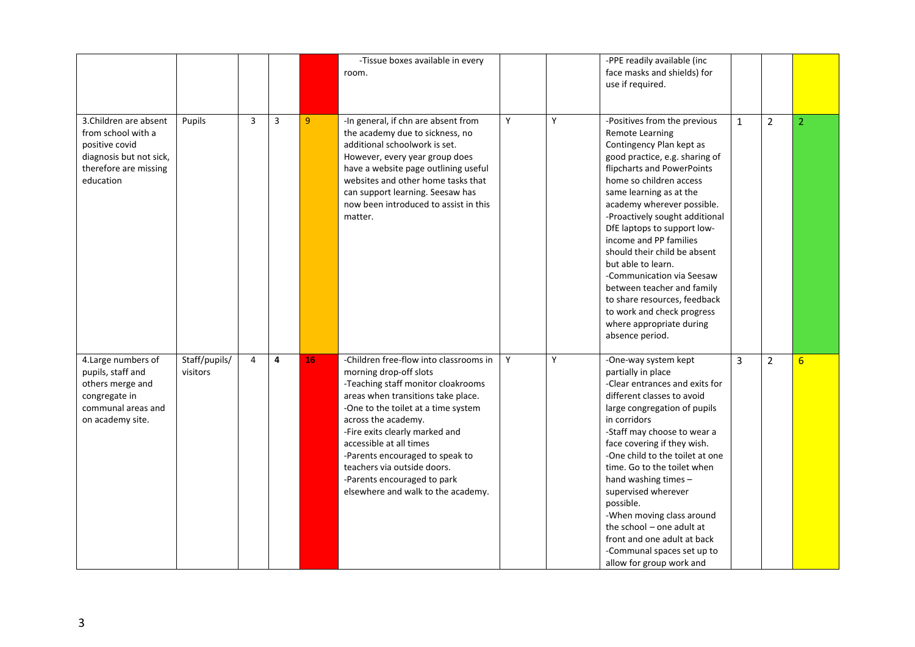|                                                                                                                                 |                           |                |   |                | -Tissue boxes available in every<br>room.                                                                                                                                                                                                                                                                                                                                                                      |   |   | -PPE readily available (inc<br>face masks and shields) for<br>use if required.                                                                                                                                                                                                                                                                                                                                                                                                                                                                                  |              |                |                 |
|---------------------------------------------------------------------------------------------------------------------------------|---------------------------|----------------|---|----------------|----------------------------------------------------------------------------------------------------------------------------------------------------------------------------------------------------------------------------------------------------------------------------------------------------------------------------------------------------------------------------------------------------------------|---|---|-----------------------------------------------------------------------------------------------------------------------------------------------------------------------------------------------------------------------------------------------------------------------------------------------------------------------------------------------------------------------------------------------------------------------------------------------------------------------------------------------------------------------------------------------------------------|--------------|----------------|-----------------|
| 3. Children are absent<br>from school with a<br>positive covid<br>diagnosis but not sick,<br>therefore are missing<br>education | Pupils                    | $\overline{3}$ | 3 | $\overline{9}$ | -In general, if chn are absent from<br>the academy due to sickness, no<br>additional schoolwork is set.<br>However, every year group does<br>have a website page outlining useful<br>websites and other home tasks that<br>can support learning. Seesaw has<br>now been introduced to assist in this<br>matter.                                                                                                | Y | Y | -Positives from the previous<br><b>Remote Learning</b><br>Contingency Plan kept as<br>good practice, e.g. sharing of<br>flipcharts and PowerPoints<br>home so children access<br>same learning as at the<br>academy wherever possible.<br>-Proactively sought additional<br>DfE laptops to support low-<br>income and PP families<br>should their child be absent<br>but able to learn.<br>-Communication via Seesaw<br>between teacher and family<br>to share resources, feedback<br>to work and check progress<br>where appropriate during<br>absence period. | $\mathbf{1}$ | $\overline{2}$ | $\overline{2}$  |
| 4. Large numbers of<br>pupils, staff and<br>others merge and<br>congregate in<br>communal areas and<br>on academy site.         | Staff/pupils/<br>visitors | 4              | 4 | 16             | -Children free-flow into classrooms in<br>morning drop-off slots<br>-Teaching staff monitor cloakrooms<br>areas when transitions take place.<br>-One to the toilet at a time system<br>across the academy.<br>-Fire exits clearly marked and<br>accessible at all times<br>-Parents encouraged to speak to<br>teachers via outside doors.<br>-Parents encouraged to park<br>elsewhere and walk to the academy. | Y | Y | -One-way system kept<br>partially in place<br>-Clear entrances and exits for<br>different classes to avoid<br>large congregation of pupils<br>in corridors<br>-Staff may choose to wear a<br>face covering if they wish.<br>-One child to the toilet at one<br>time. Go to the toilet when<br>hand washing times -<br>supervised wherever<br>possible.<br>-When moving class around<br>the school $-$ one adult at<br>front and one adult at back<br>-Communal spaces set up to<br>allow for group work and                                                     | 3            | $\overline{2}$ | $6\overline{6}$ |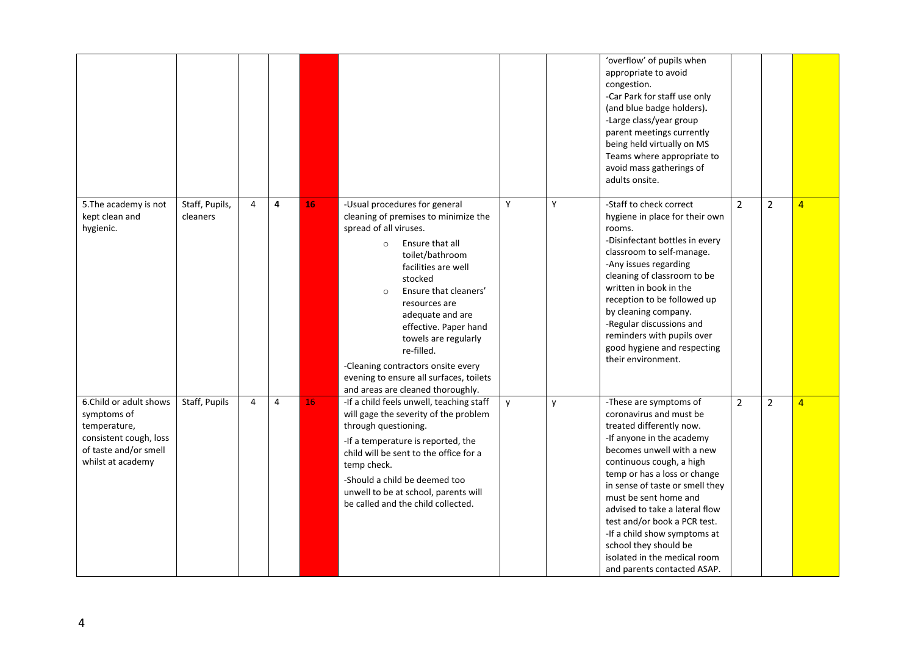|                                                                                                                               |                            |                |   |    |                                                                                                                                                                                                                                                                                                                                                                                                                                                  |   |   | 'overflow' of pupils when<br>appropriate to avoid<br>congestion.<br>-Car Park for staff use only<br>(and blue badge holders).<br>-Large class/year group<br>parent meetings currently<br>being held virtually on MS<br>Teams where appropriate to<br>avoid mass gatherings of<br>adults onsite.                                                                                                                                                           |                |                |   |
|-------------------------------------------------------------------------------------------------------------------------------|----------------------------|----------------|---|----|--------------------------------------------------------------------------------------------------------------------------------------------------------------------------------------------------------------------------------------------------------------------------------------------------------------------------------------------------------------------------------------------------------------------------------------------------|---|---|-----------------------------------------------------------------------------------------------------------------------------------------------------------------------------------------------------------------------------------------------------------------------------------------------------------------------------------------------------------------------------------------------------------------------------------------------------------|----------------|----------------|---|
| 5. The academy is not<br>kept clean and<br>hygienic.                                                                          | Staff, Pupils,<br>cleaners | $\overline{4}$ | 4 | 16 | -Usual procedures for general<br>cleaning of premises to minimize the<br>spread of all viruses.<br>Ensure that all<br>$\circ$<br>toilet/bathroom<br>facilities are well<br>stocked<br>Ensure that cleaners'<br>$\circ$<br>resources are<br>adequate and are<br>effective. Paper hand<br>towels are regularly<br>re-filled.<br>-Cleaning contractors onsite every<br>evening to ensure all surfaces, toilets<br>and areas are cleaned thoroughly. | Y | Y | -Staff to check correct<br>hygiene in place for their own<br>rooms.<br>-Disinfectant bottles in every<br>classroom to self-manage.<br>-Any issues regarding<br>cleaning of classroom to be<br>written in book in the<br>reception to be followed up<br>by cleaning company.<br>-Regular discussions and<br>reminders with pupils over<br>good hygiene and respecting<br>their environment.                                                                | $\overline{2}$ | $\overline{2}$ | 4 |
| 6.Child or adult shows<br>symptoms of<br>temperature,<br>consistent cough, loss<br>of taste and/or smell<br>whilst at academy | Staff, Pupils              | 4              | 4 | 16 | -If a child feels unwell, teaching staff<br>will gage the severity of the problem<br>through questioning.<br>-If a temperature is reported, the<br>child will be sent to the office for a<br>temp check.<br>-Should a child be deemed too<br>unwell to be at school, parents will<br>be called and the child collected.                                                                                                                          | y | y | -These are symptoms of<br>coronavirus and must be<br>treated differently now.<br>-If anyone in the academy<br>becomes unwell with a new<br>continuous cough, a high<br>temp or has a loss or change<br>in sense of taste or smell they<br>must be sent home and<br>advised to take a lateral flow<br>test and/or book a PCR test.<br>-If a child show symptoms at<br>school they should be<br>isolated in the medical room<br>and parents contacted ASAP. | 2              | $\overline{2}$ | 4 |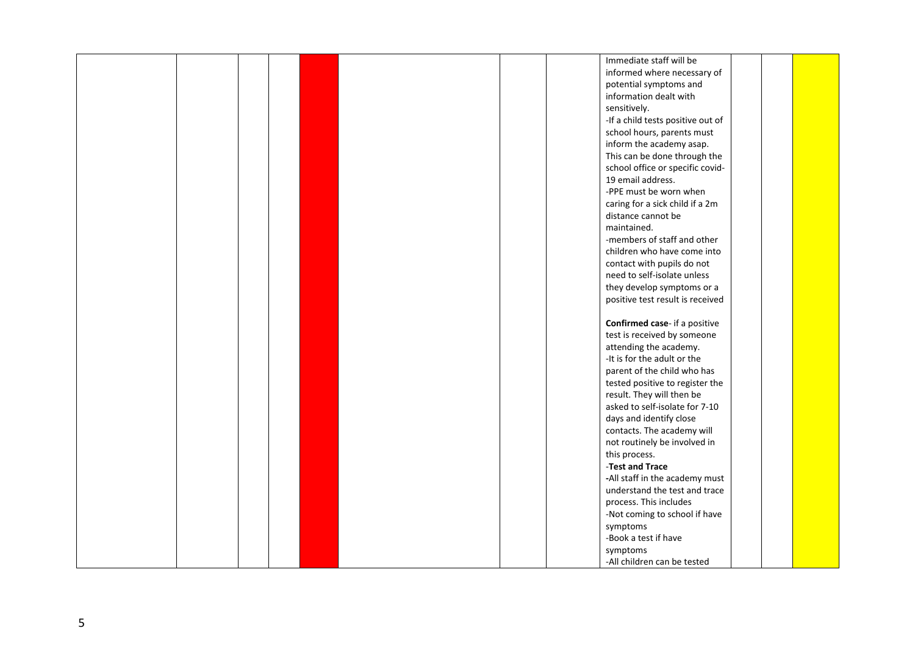|  |  |  |  | Immediate staff will be                 |  |  |
|--|--|--|--|-----------------------------------------|--|--|
|  |  |  |  | informed where necessary of             |  |  |
|  |  |  |  | potential symptoms and                  |  |  |
|  |  |  |  | information dealt with                  |  |  |
|  |  |  |  | sensitively.                            |  |  |
|  |  |  |  | -If a child tests positive out of       |  |  |
|  |  |  |  | school hours, parents must              |  |  |
|  |  |  |  | inform the academy asap.                |  |  |
|  |  |  |  | This can be done through the            |  |  |
|  |  |  |  | school office or specific covid-        |  |  |
|  |  |  |  | 19 email address.                       |  |  |
|  |  |  |  | -PPE must be worn when                  |  |  |
|  |  |  |  | caring for a sick child if a 2m         |  |  |
|  |  |  |  | distance cannot be                      |  |  |
|  |  |  |  | maintained.                             |  |  |
|  |  |  |  | -members of staff and other             |  |  |
|  |  |  |  | children who have come into             |  |  |
|  |  |  |  | contact with pupils do not              |  |  |
|  |  |  |  | need to self-isolate unless             |  |  |
|  |  |  |  | they develop symptoms or a              |  |  |
|  |  |  |  | positive test result is received        |  |  |
|  |  |  |  |                                         |  |  |
|  |  |  |  | Confirmed case- if a positive           |  |  |
|  |  |  |  | test is received by someone             |  |  |
|  |  |  |  | attending the academy.                  |  |  |
|  |  |  |  | -It is for the adult or the             |  |  |
|  |  |  |  | parent of the child who has             |  |  |
|  |  |  |  | tested positive to register the         |  |  |
|  |  |  |  | result. They will then be               |  |  |
|  |  |  |  | asked to self-isolate for 7-10          |  |  |
|  |  |  |  | days and identify close                 |  |  |
|  |  |  |  | contacts. The academy will              |  |  |
|  |  |  |  | not routinely be involved in            |  |  |
|  |  |  |  | this process.                           |  |  |
|  |  |  |  | -Test and Trace                         |  |  |
|  |  |  |  | -All staff in the academy must          |  |  |
|  |  |  |  | understand the test and trace           |  |  |
|  |  |  |  | process. This includes                  |  |  |
|  |  |  |  | -Not coming to school if have           |  |  |
|  |  |  |  |                                         |  |  |
|  |  |  |  | symptoms                                |  |  |
|  |  |  |  | -Book a test if have                    |  |  |
|  |  |  |  | symptoms<br>-All children can be tested |  |  |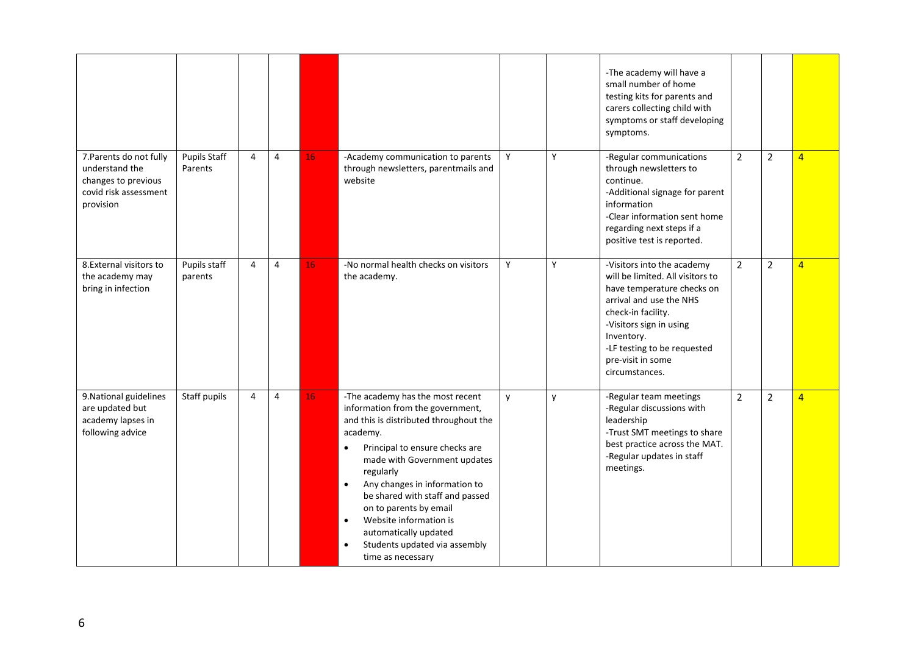|                                                                                                        |                                |                |   |    |                                                                                                                                                                                                                                                                                                                                                                                                                                                                      |   |   | -The academy will have a<br>small number of home<br>testing kits for parents and<br>carers collecting child with<br>symptoms or staff developing<br>symptoms.                                                                                                |                |                |                |
|--------------------------------------------------------------------------------------------------------|--------------------------------|----------------|---|----|----------------------------------------------------------------------------------------------------------------------------------------------------------------------------------------------------------------------------------------------------------------------------------------------------------------------------------------------------------------------------------------------------------------------------------------------------------------------|---|---|--------------------------------------------------------------------------------------------------------------------------------------------------------------------------------------------------------------------------------------------------------------|----------------|----------------|----------------|
| 7. Parents do not fully<br>understand the<br>changes to previous<br>covid risk assessment<br>provision | <b>Pupils Staff</b><br>Parents | $\overline{4}$ | 4 | 16 | -Academy communication to parents<br>through newsletters, parentmails and<br>website                                                                                                                                                                                                                                                                                                                                                                                 | Y | Y | -Regular communications<br>through newsletters to<br>continue.<br>-Additional signage for parent<br>information<br>-Clear information sent home<br>regarding next steps if a<br>positive test is reported.                                                   | $\overline{2}$ | $\overline{2}$ | $\overline{4}$ |
| 8. External visitors to<br>the academy may<br>bring in infection                                       | Pupils staff<br>parents        | 4              | 4 | 16 | -No normal health checks on visitors<br>the academy.                                                                                                                                                                                                                                                                                                                                                                                                                 | Y | Y | -Visitors into the academy<br>will be limited. All visitors to<br>have temperature checks on<br>arrival and use the NHS<br>check-in facility.<br>-Visitors sign in using<br>Inventory.<br>-LF testing to be requested<br>pre-visit in some<br>circumstances. | $\overline{2}$ | $\overline{2}$ | $\overline{4}$ |
| 9. National guidelines<br>are updated but<br>academy lapses in<br>following advice                     | Staff pupils                   | 4              | 4 | 16 | -The academy has the most recent<br>information from the government,<br>and this is distributed throughout the<br>academy.<br>Principal to ensure checks are<br>$\bullet$<br>made with Government updates<br>regularly<br>Any changes in information to<br>$\bullet$<br>be shared with staff and passed<br>on to parents by email<br>Website information is<br>$\bullet$<br>automatically updated<br>Students updated via assembly<br>$\bullet$<br>time as necessary | y | y | -Regular team meetings<br>-Regular discussions with<br>leadership<br>-Trust SMT meetings to share<br>best practice across the MAT.<br>-Regular updates in staff<br>meetings.                                                                                 | $\overline{2}$ | $\overline{2}$ | $\overline{4}$ |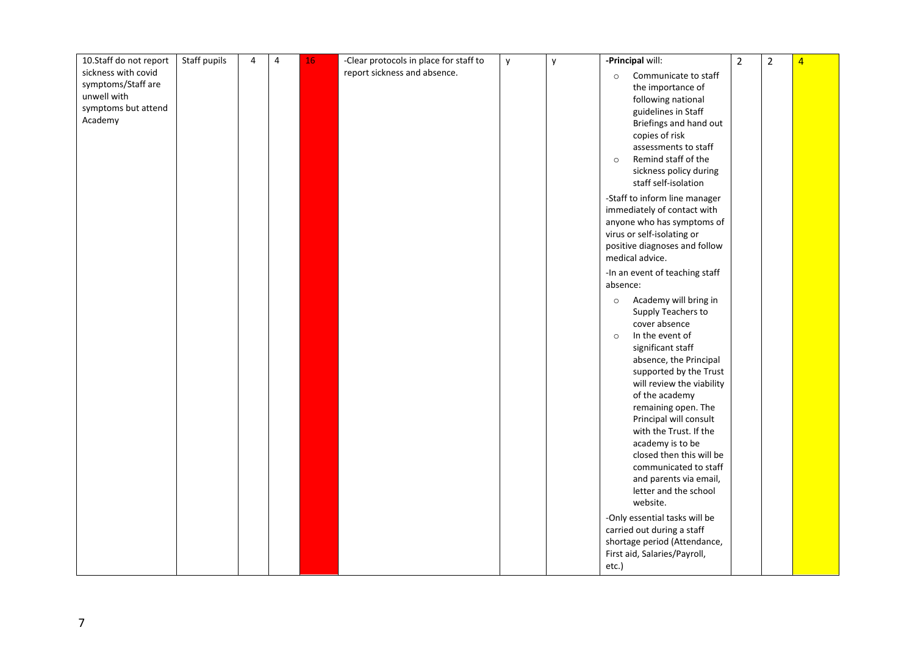| 10.Staff do not report                                                                     | Staff pupils | 4 | 4 | 16 | -Clear protocols in place for staff to | y | y | -Principal will:                                                                                                                                                                                                                                                                                                                                                                                                                                                                                                                                                                                                                       | $\overline{2}$ | $\overline{2}$ | $\overline{4}$ |
|--------------------------------------------------------------------------------------------|--------------|---|---|----|----------------------------------------|---|---|----------------------------------------------------------------------------------------------------------------------------------------------------------------------------------------------------------------------------------------------------------------------------------------------------------------------------------------------------------------------------------------------------------------------------------------------------------------------------------------------------------------------------------------------------------------------------------------------------------------------------------------|----------------|----------------|----------------|
| sickness with covid<br>symptoms/Staff are<br>unwell with<br>symptoms but attend<br>Academy |              |   |   |    | report sickness and absence.           |   |   | Communicate to staff<br>$\circ$<br>the importance of<br>following national<br>guidelines in Staff<br>Briefings and hand out<br>copies of risk<br>assessments to staff<br>Remind staff of the<br>$\circ$<br>sickness policy during<br>staff self-isolation<br>-Staff to inform line manager<br>immediately of contact with<br>anyone who has symptoms of<br>virus or self-isolating or<br>positive diagnoses and follow<br>medical advice.                                                                                                                                                                                              |                |                |                |
|                                                                                            |              |   |   |    |                                        |   |   | -In an event of teaching staff<br>absence:<br>Academy will bring in<br>$\circ$<br>Supply Teachers to<br>cover absence<br>In the event of<br>$\circ$<br>significant staff<br>absence, the Principal<br>supported by the Trust<br>will review the viability<br>of the academy<br>remaining open. The<br>Principal will consult<br>with the Trust. If the<br>academy is to be<br>closed then this will be<br>communicated to staff<br>and parents via email,<br>letter and the school<br>website.<br>-Only essential tasks will be<br>carried out during a staff<br>shortage period (Attendance,<br>First aid, Salaries/Payroll,<br>etc.) |                |                |                |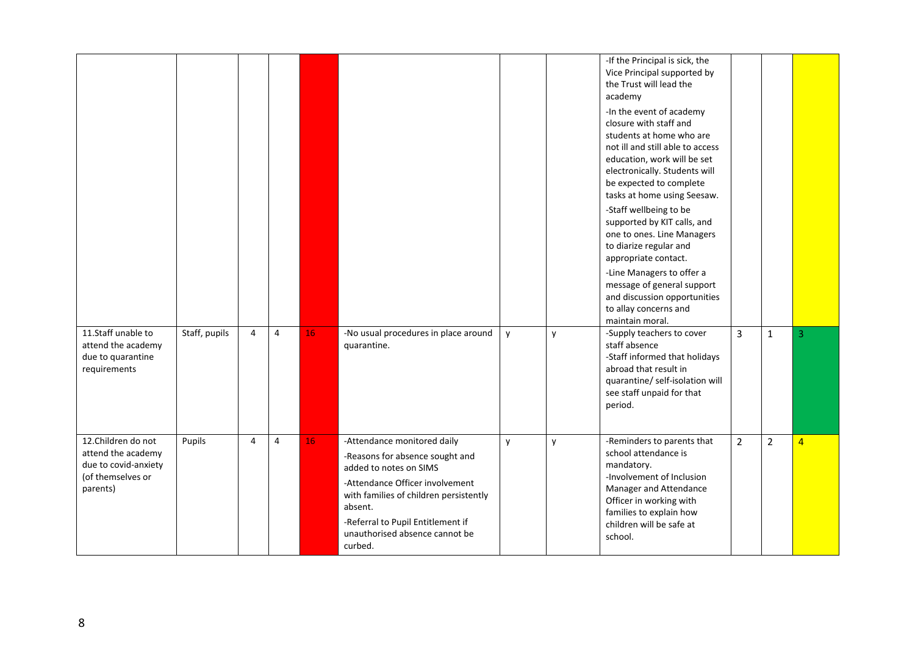|                                                                                                   |               |                |   |                 |                                                                                                                                                                                                                                                                    |   |   | -If the Principal is sick, the<br>Vice Principal supported by<br>the Trust will lead the<br>academy<br>-In the event of academy<br>closure with staff and<br>students at home who are<br>not ill and still able to access<br>education, work will be set<br>electronically. Students will<br>be expected to complete<br>tasks at home using Seesaw.<br>-Staff wellbeing to be<br>supported by KIT calls, and<br>one to ones. Line Managers<br>to diarize regular and<br>appropriate contact.<br>-Line Managers to offer a<br>message of general support<br>and discussion opportunities<br>to allay concerns and<br>maintain moral. |                |                |   |
|---------------------------------------------------------------------------------------------------|---------------|----------------|---|-----------------|--------------------------------------------------------------------------------------------------------------------------------------------------------------------------------------------------------------------------------------------------------------------|---|---|-------------------------------------------------------------------------------------------------------------------------------------------------------------------------------------------------------------------------------------------------------------------------------------------------------------------------------------------------------------------------------------------------------------------------------------------------------------------------------------------------------------------------------------------------------------------------------------------------------------------------------------|----------------|----------------|---|
| 11.Staff unable to<br>attend the academy<br>due to quarantine<br>requirements                     | Staff, pupils | $\overline{4}$ | 4 | 16 <sub>1</sub> | -No usual procedures in place around<br>quarantine.                                                                                                                                                                                                                | y | y | -Supply teachers to cover<br>staff absence<br>-Staff informed that holidays<br>abroad that result in<br>quarantine/ self-isolation will<br>see staff unpaid for that<br>period.                                                                                                                                                                                                                                                                                                                                                                                                                                                     | $\overline{3}$ | $\mathbf{1}$   | 3 |
| 12.Children do not<br>attend the academy<br>due to covid-anxiety<br>(of themselves or<br>parents) | Pupils        | $\overline{4}$ | 4 | 16              | -Attendance monitored daily<br>-Reasons for absence sought and<br>added to notes on SIMS<br>-Attendance Officer involvement<br>with families of children persistently<br>absent.<br>-Referral to Pupil Entitlement if<br>unauthorised absence cannot be<br>curbed. | y | y | -Reminders to parents that<br>school attendance is<br>mandatory.<br>-Involvement of Inclusion<br>Manager and Attendance<br>Officer in working with<br>families to explain how<br>children will be safe at<br>school.                                                                                                                                                                                                                                                                                                                                                                                                                | $\overline{2}$ | $\overline{2}$ | 4 |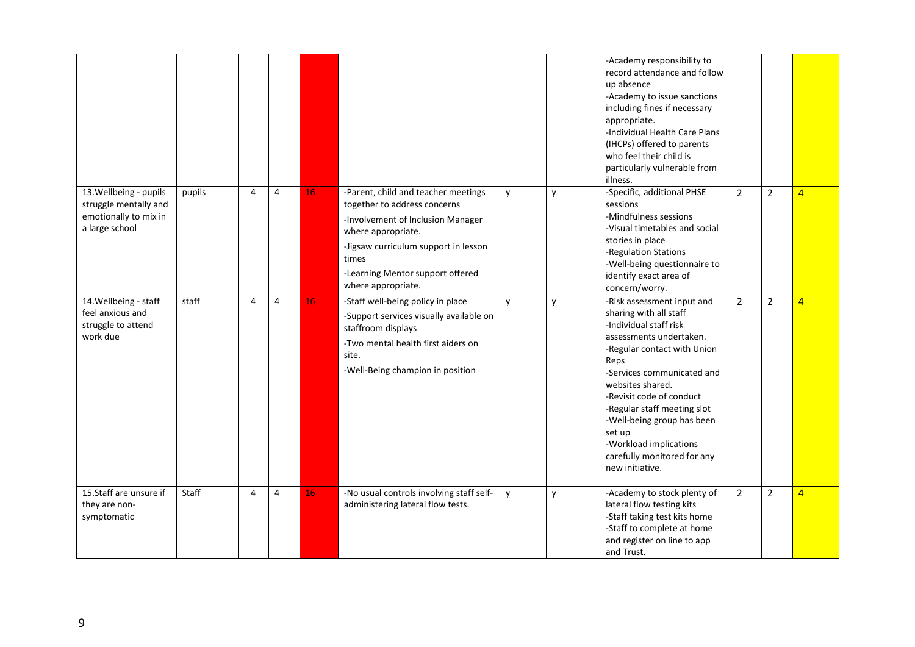|                                                                                            |        |   |   |    |                                                                                                                                                                                                                                           |   |   | -Academy responsibility to<br>record attendance and follow<br>up absence<br>-Academy to issue sanctions<br>including fines if necessary<br>appropriate.<br>-Individual Health Care Plans<br>(IHCPs) offered to parents<br>who feel their child is<br>particularly vulnerable from<br>illness.                                                                                     |                |                |                |
|--------------------------------------------------------------------------------------------|--------|---|---|----|-------------------------------------------------------------------------------------------------------------------------------------------------------------------------------------------------------------------------------------------|---|---|-----------------------------------------------------------------------------------------------------------------------------------------------------------------------------------------------------------------------------------------------------------------------------------------------------------------------------------------------------------------------------------|----------------|----------------|----------------|
| 13. Wellbeing - pupils<br>struggle mentally and<br>emotionally to mix in<br>a large school | pupils | 4 | 4 | 16 | -Parent, child and teacher meetings<br>together to address concerns<br>-Involvement of Inclusion Manager<br>where appropriate.<br>-Jigsaw curriculum support in lesson<br>times<br>-Learning Mentor support offered<br>where appropriate. | y | y | -Specific, additional PHSE<br>sessions<br>-Mindfulness sessions<br>-Visual timetables and social<br>stories in place<br>-Regulation Stations<br>-Well-being questionnaire to<br>identify exact area of<br>concern/worry.                                                                                                                                                          | $\overline{2}$ | $\overline{2}$ | $\overline{4}$ |
| 14. Wellbeing - staff<br>feel anxious and<br>struggle to attend<br>work due                | staff  | 4 | 4 | 16 | -Staff well-being policy in place<br>-Support services visually available on<br>staffroom displays<br>-Two mental health first aiders on<br>site.<br>-Well-Being champion in position                                                     | y | y | -Risk assessment input and<br>sharing with all staff<br>-Individual staff risk<br>assessments undertaken.<br>-Regular contact with Union<br>Reps<br>-Services communicated and<br>websites shared.<br>-Revisit code of conduct<br>-Regular staff meeting slot<br>-Well-being group has been<br>set up<br>-Workload implications<br>carefully monitored for any<br>new initiative. | $\overline{2}$ | $\overline{2}$ | $\overline{4}$ |
| 15.Staff are unsure if<br>they are non-<br>symptomatic                                     | Staff  | 4 | 4 | 16 | -No usual controls involving staff self-<br>administering lateral flow tests.                                                                                                                                                             | y | У | -Academy to stock plenty of<br>lateral flow testing kits<br>-Staff taking test kits home<br>-Staff to complete at home<br>and register on line to app<br>and Trust.                                                                                                                                                                                                               | $\overline{2}$ | $\overline{2}$ | $\overline{4}$ |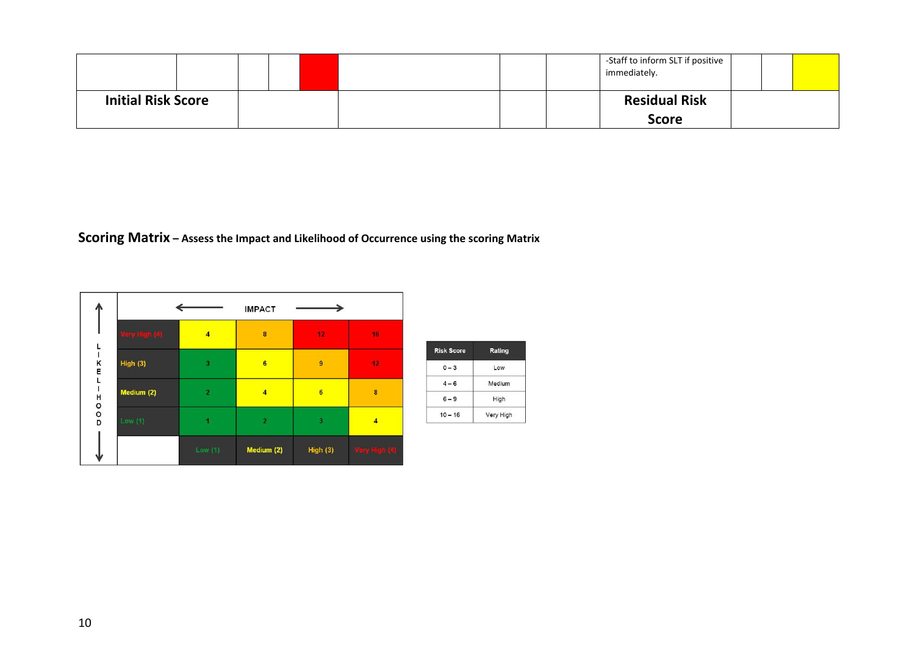|                           |  |  |  | -Staff to inform SLT if positive<br>immediately. |  |  |
|---------------------------|--|--|--|--------------------------------------------------|--|--|
| <b>Initial Risk Score</b> |  |  |  | <b>Residual Risk</b>                             |  |  |
|                           |  |  |  | <b>Score</b>                                     |  |  |

**Scoring Matrix – Assess the Impact and Likelihood of Occurrence using the scoring Matrix**

|        |               |                | <b>IMPACT</b>  |                         |                |
|--------|---------------|----------------|----------------|-------------------------|----------------|
|        | fery High (4) | $\overline{4}$ | $\pmb{8}$      | 12                      | 16             |
| K<br>E | High (3)      | $\overline{3}$ | $6\phantom{a}$ | $\overline{9}$          | 12             |
|        | Medium (2)    | $\overline{2}$ | $\overline{4}$ | $6\phantom{1}$          | $\bf{8}$       |
| ≖00¤   | Low $(1)$     |                | $\overline{2}$ | $\overline{\mathbf{3}}$ | $\overline{4}$ |
| s la   |               | Low(1)         | Medium (2)     | High (3)                | Very High (4)  |

| <b>Risk Score</b> | Rating    |  |
|-------------------|-----------|--|
| $0 - 3$           | Low       |  |
| $4 - 6$           | Medium    |  |
| $6 - 9$           | High      |  |
| $10 - 16$         | Very High |  |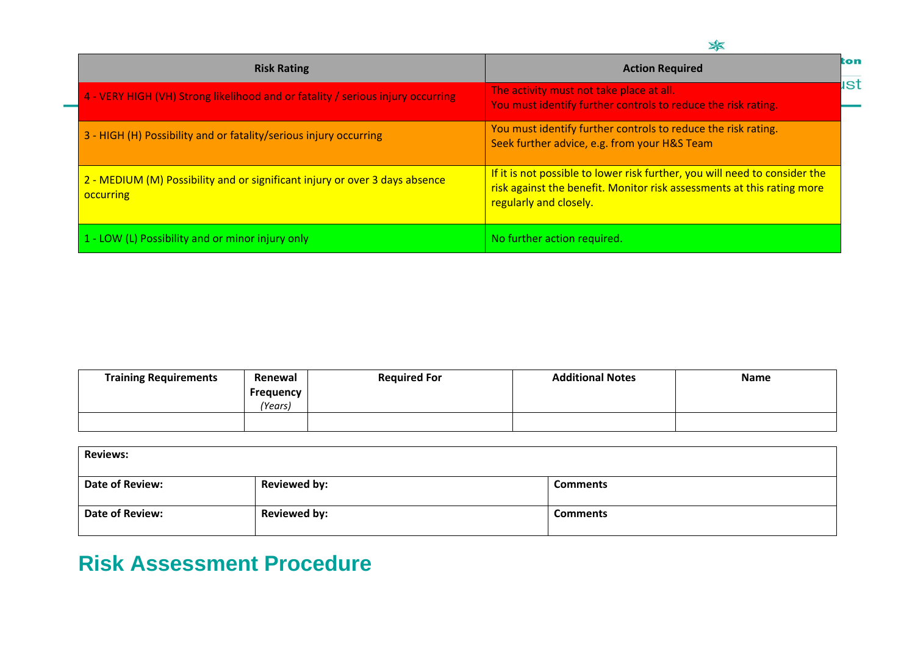| <b>Risk Rating</b>                                                                              | ton<br><b>Action Required</b>                                                                                                                                                  |  |
|-------------------------------------------------------------------------------------------------|--------------------------------------------------------------------------------------------------------------------------------------------------------------------------------|--|
| 4 - VERY HIGH (VH) Strong likelihood and or fatality / serious injury occurring                 | ıst<br>The activity must not take place at all.<br>You must identify further controls to reduce the risk rating.                                                               |  |
| 3 - HIGH (H) Possibility and or fatality/serious injury occurring                               | You must identify further controls to reduce the risk rating.<br>Seek further advice, e.g. from your H&S Team                                                                  |  |
| 2 - MEDIUM (M) Possibility and or significant injury or over 3 days absence<br><b>occurring</b> | If it is not possible to lower risk further, you will need to consider the<br>risk against the benefit. Monitor risk assessments at this rating more<br>regularly and closely. |  |
| 1 - LOW (L) Possibility and or minor injury only                                                | No further action required.                                                                                                                                                    |  |

| <b>Training Requirements</b> | Renewal              | <b>Required For</b> | <b>Additional Notes</b> | <b>Name</b> |
|------------------------------|----------------------|---------------------|-------------------------|-------------|
|                              | Frequency<br>(Years) |                     |                         |             |
|                              |                      |                     |                         |             |

| <b>Reviews:</b>        |                     |                 |  |  |
|------------------------|---------------------|-----------------|--|--|
| Date of Review:        | <b>Reviewed by:</b> | <b>Comments</b> |  |  |
| <b>Date of Review:</b> | <b>Reviewed by:</b> | <b>Comments</b> |  |  |

# **Risk Assessment Procedure**

÷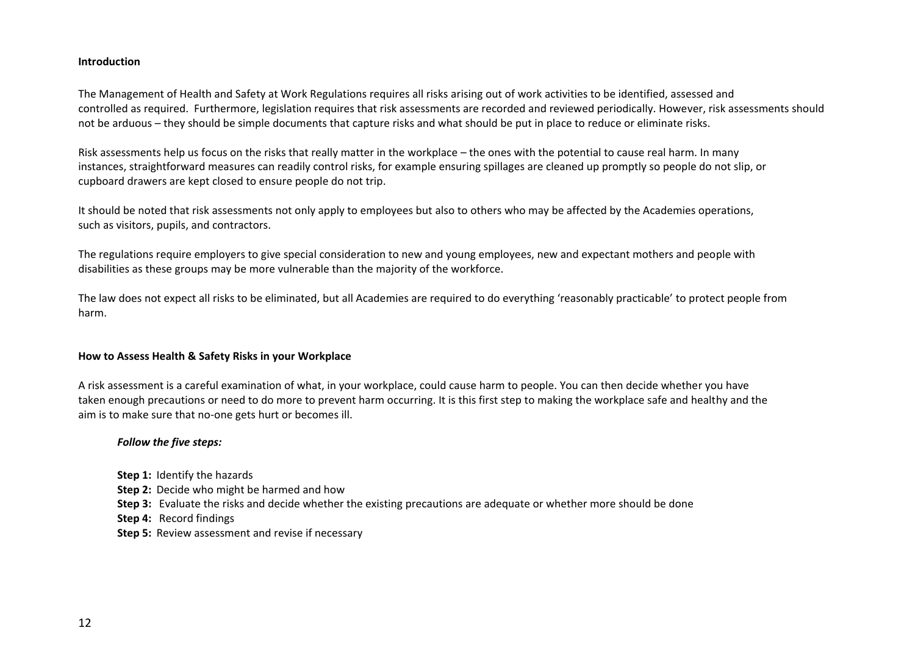### **Introduction**

The Management of Health and Safety at Work Regulations requires all risks arising out of work activities to be identified, assessed and controlled as required. Furthermore, legislation requires that risk assessments are recorded and reviewed periodically. However, risk assessments should not be arduous – they should be simple documents that capture risks and what should be put in place to reduce or eliminate risks.

Risk assessments help us focus on the risks that really matter in the workplace – the ones with the potential to cause real harm. In many instances, straightforward measures can readily control risks, for example ensuring spillages are cleaned up promptly so people do not slip, or cupboard drawers are kept closed to ensure people do not trip.

It should be noted that risk assessments not only apply to employees but also to others who may be affected by the Academies operations, such as visitors, pupils, and contractors.

The regulations require employers to give special consideration to new and young employees, new and expectant mothers and people with disabilities as these groups may be more vulnerable than the majority of the workforce.

The law does not expect all risks to be eliminated, but all Academies are required to do everything 'reasonably practicable' to protect people from harm.

#### **How to Assess Health & Safety Risks in your Workplace**

A risk assessment is a careful examination of what, in your workplace, could cause harm to people. You can then decide whether you have taken enough precautions or need to do more to prevent harm occurring. It is this first step to making the workplace safe and healthy and the aim is to make sure that no-one gets hurt or becomes ill.

#### *Follow the five steps:*

- **Step 1:** Identify the hazards
- **Step 2:** Decide who might be harmed and how
- **Step 3:** Evaluate the risks and decide whether the existing precautions are adequate or whether more should be done
- **Step 4:** Record findings
- **Step 5:** Review assessment and revise if necessary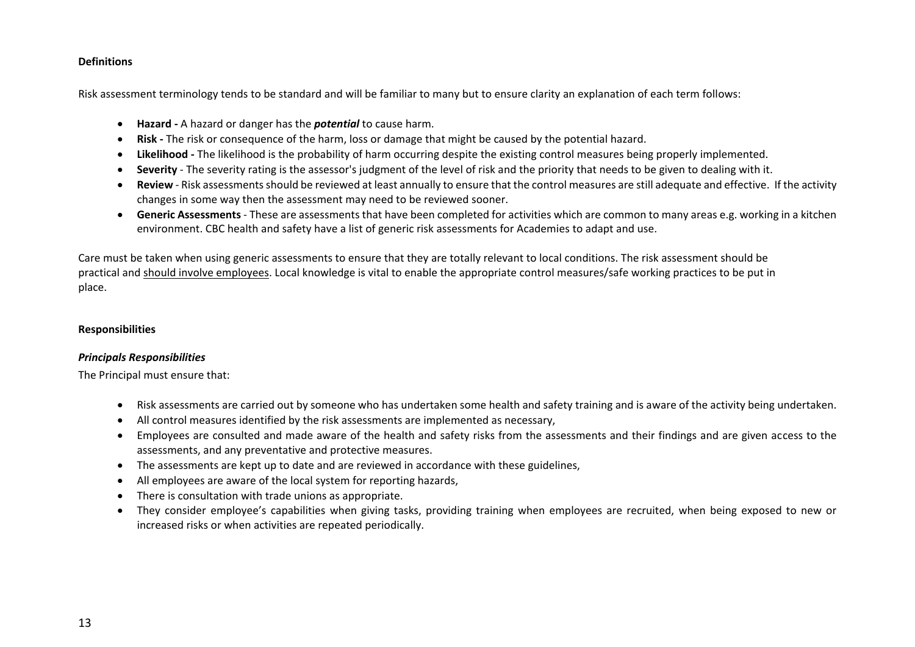# **Definitions**

Risk assessment terminology tends to be standard and will be familiar to many but to ensure clarity an explanation of each term follows:

- **Hazard -** A hazard or danger has the *potential* to cause harm.
- **Risk -** The risk or consequence of the harm, loss or damage that might be caused by the potential hazard.
- **Likelihood -** The likelihood is the probability of harm occurring despite the existing control measures being properly implemented.
- **Severity** The severity rating is the assessor's judgment of the level of risk and the priority that needs to be given to dealing with it.
- **Review** Risk assessments should be reviewed at least annually to ensure that the control measures are still adequate and effective. If the activity changes in some way then the assessment may need to be reviewed sooner.
- **Generic Assessments** These are assessments that have been completed for activities which are common to many areas e.g. working in a kitchen environment. CBC health and safety have a list of generic risk assessments for Academies to adapt and use.

Care must be taken when using generic assessments to ensure that they are totally relevant to local conditions. The risk assessment should be practical and should involve employees. Local knowledge is vital to enable the appropriate control measures/safe working practices to be put in place.

# **Responsibilities**

# *Principals Responsibilities*

The Principal must ensure that:

- Risk assessments are carried out by someone who has undertaken some health and safety training and is aware of the activity being undertaken.
- All control measures identified by the risk assessments are implemented as necessary,
- Employees are consulted and made aware of the health and safety risks from the assessments and their findings and are given access to the assessments, and any preventative and protective measures.
- The assessments are kept up to date and are reviewed in accordance with these guidelines,
- All employees are aware of the local system for reporting hazards,
- There is consultation with trade unions as appropriate.
- They consider employee's capabilities when giving tasks, providing training when employees are recruited, when being exposed to new or increased risks or when activities are repeated periodically.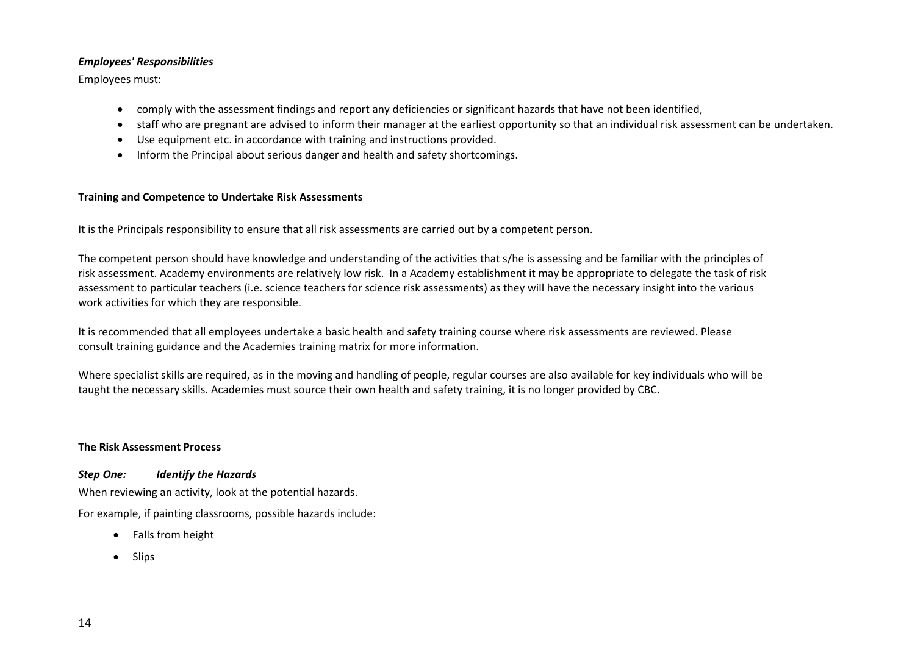# *Employees' Responsibilities*

Employees must:

- comply with the assessment findings and report any deficiencies or significant hazards that have not been identified,
- staff who are pregnant are advised to inform their manager at the earliest opportunity so that an individual risk assessment can be undertaken.
- Use equipment etc. in accordance with training and instructions provided.
- Inform the Principal about serious danger and health and safety shortcomings.

# **Training and Competence to Undertake Risk Assessments**

It is the Principals responsibility to ensure that all risk assessments are carried out by a competent person.

The competent person should have knowledge and understanding of the activities that s/he is assessing and be familiar with the principles of risk assessment. Academy environments are relatively low risk. In a Academy establishment it may be appropriate to delegate the task of risk assessment to particular teachers (i.e. science teachers for science risk assessments) as they will have the necessary insight into the various work activities for which they are responsible.

It is recommended that all employees undertake a basic health and safety training course where risk assessments are reviewed. Please consult training guidance and the Academies training matrix for more information.

Where specialist skills are required, as in the moving and handling of people, regular courses are also available for key individuals who will be taught the necessary skills. Academies must source their own health and safety training, it is no longer provided by CBC.

#### **The Risk Assessment Process**

*Step One: Identify the Hazards*

When reviewing an activity, look at the potential hazards.

For example, if painting classrooms, possible hazards include:

- Falls from height
- Slips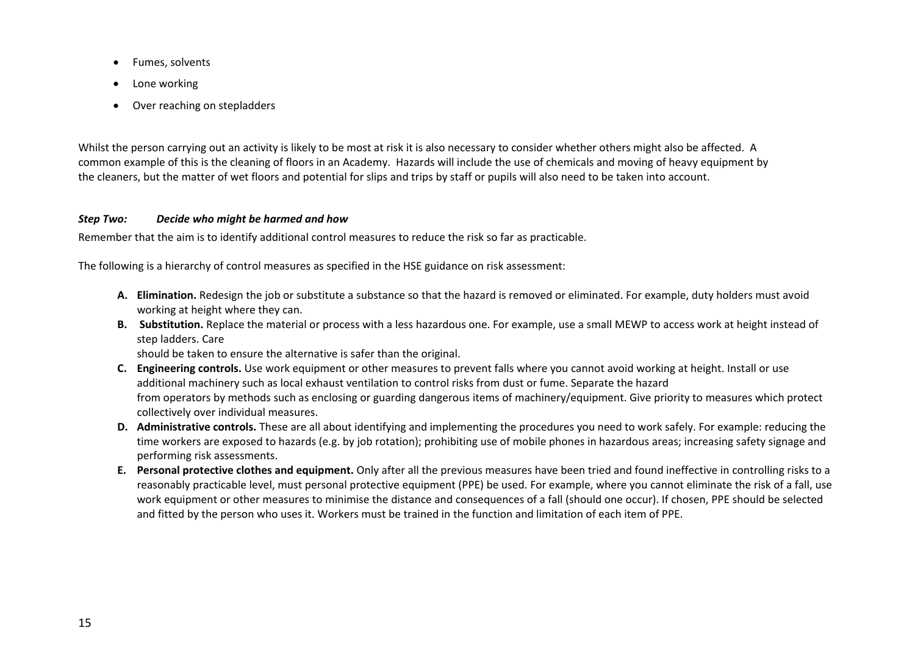- Fumes, solvents
- Lone working
- Over reaching on stepladders

Whilst the person carrying out an activity is likely to be most at risk it is also necessary to consider whether others might also be affected. A common example of this is the cleaning of floors in an Academy. Hazards will include the use of chemicals and moving of heavy equipment by the cleaners, but the matter of wet floors and potential for slips and trips by staff or pupils will also need to be taken into account.

# *Step Two: Decide who might be harmed and how*

Remember that the aim is to identify additional control measures to reduce the risk so far as practicable.

The following is a hierarchy of control measures as specified in the HSE guidance on risk assessment:

- **A. Elimination.** Redesign the job or substitute a substance so that the hazard is removed or eliminated. For example, duty holders must avoid working at height where they can.
- **B. Substitution.** Replace the material or process with a less hazardous one. For example, use a small MEWP to access work at height instead of step ladders. Care

should be taken to ensure the alternative is safer than the original.

- **C. Engineering controls.** Use work equipment or other measures to prevent falls where you cannot avoid working at height. Install or use additional machinery such as local exhaust ventilation to control risks from dust or fume. Separate the hazard from operators by methods such as enclosing or guarding dangerous items of machinery/equipment. Give priority to measures which protect collectively over individual measures.
- **D. Administrative controls.** These are all about identifying and implementing the procedures you need to work safely. For example: reducing the time workers are exposed to hazards (e.g. by job rotation); prohibiting use of mobile phones in hazardous areas; increasing safety signage and performing risk assessments.
- **E. Personal protective clothes and equipment.** Only after all the previous measures have been tried and found ineffective in controlling risks to a reasonably practicable level, must personal protective equipment (PPE) be used. For example, where you cannot eliminate the risk of a fall, use work equipment or other measures to minimise the distance and consequences of a fall (should one occur). If chosen, PPE should be selected and fitted by the person who uses it. Workers must be trained in the function and limitation of each item of PPE.